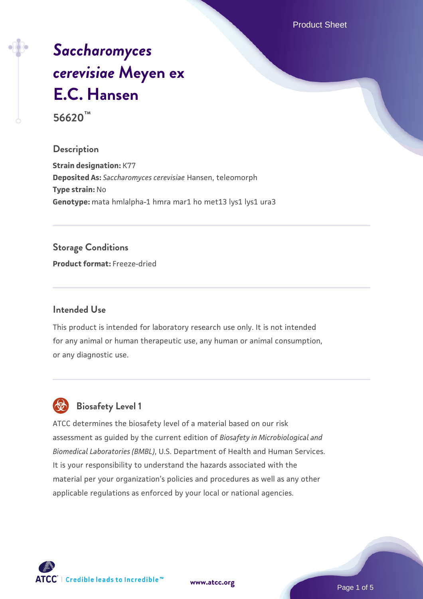Product Sheet

# *[Saccharomyces](https://www.atcc.org/products/56620) [cerevisiae](https://www.atcc.org/products/56620)* **[Meyen ex](https://www.atcc.org/products/56620) [E.C. Hansen](https://www.atcc.org/products/56620)**

**56620™**

## **Description**

**Strain designation:** K77 **Deposited As:** *Saccharomyces cerevisiae* Hansen, teleomorph **Type strain:** No Genotype: mata hmlalpha-1 hmra mar1 ho met13 lys1 lys1 ura3

# **Storage Conditions**

**Product format:** Freeze-dried

## **Intended Use**

This product is intended for laboratory research use only. It is not intended for any animal or human therapeutic use, any human or animal consumption, or any diagnostic use.



# **Biosafety Level 1**

ATCC determines the biosafety level of a material based on our risk assessment as guided by the current edition of *Biosafety in Microbiological and Biomedical Laboratories (BMBL)*, U.S. Department of Health and Human Services. It is your responsibility to understand the hazards associated with the material per your organization's policies and procedures as well as any other applicable regulations as enforced by your local or national agencies.

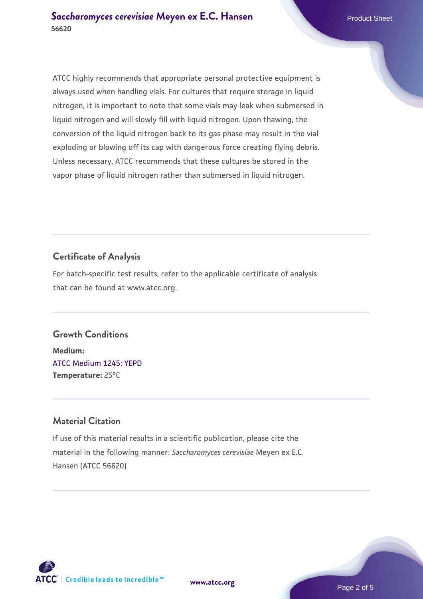ATCC highly recommends that appropriate personal protective equipment is always used when handling vials. For cultures that require storage in liquid nitrogen, it is important to note that some vials may leak when submersed in liquid nitrogen and will slowly fill with liquid nitrogen. Upon thawing, the conversion of the liquid nitrogen back to its gas phase may result in the vial exploding or blowing off its cap with dangerous force creating flying debris. Unless necessary, ATCC recommends that these cultures be stored in the vapor phase of liquid nitrogen rather than submersed in liquid nitrogen.

# **Certificate of Analysis**

For batch-specific test results, refer to the applicable certificate of analysis that can be found at www.atcc.org.

# **Growth Conditions**

**Medium:**  [ATCC Medium 1245: YEPD](https://www.atcc.org/-/media/product-assets/documents/microbial-media-formulations/1/2/4/5/atcc-medium-1245.pdf?rev=705ca55d1b6f490a808a965d5c072196) **Temperature:** 25°C

# **Material Citation**

If use of this material results in a scientific publication, please cite the material in the following manner: *Saccharomyces cerevisiae* Meyen ex E.C. Hansen (ATCC 56620)

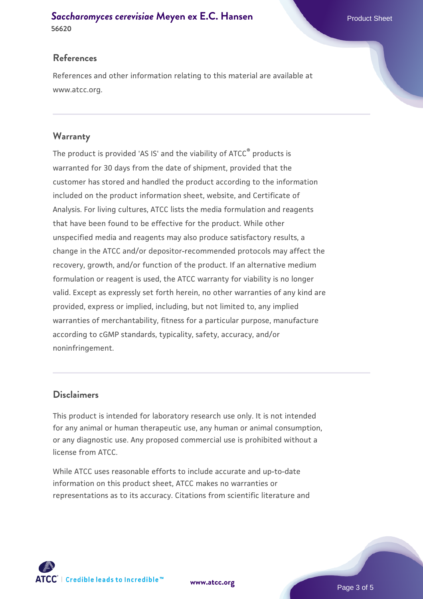#### **[Saccharomyces cerevisiae](https://www.atcc.org/products/56620)** [Meyen ex E.C. Hansen](https://www.atcc.org/products/56620) **56620**

#### **References**

References and other information relating to this material are available at www.atcc.org.

#### **Warranty**

The product is provided 'AS IS' and the viability of ATCC® products is warranted for 30 days from the date of shipment, provided that the customer has stored and handled the product according to the information included on the product information sheet, website, and Certificate of Analysis. For living cultures, ATCC lists the media formulation and reagents that have been found to be effective for the product. While other unspecified media and reagents may also produce satisfactory results, a change in the ATCC and/or depositor-recommended protocols may affect the recovery, growth, and/or function of the product. If an alternative medium formulation or reagent is used, the ATCC warranty for viability is no longer valid. Except as expressly set forth herein, no other warranties of any kind are provided, express or implied, including, but not limited to, any implied warranties of merchantability, fitness for a particular purpose, manufacture according to cGMP standards, typicality, safety, accuracy, and/or noninfringement.

#### **Disclaimers**

This product is intended for laboratory research use only. It is not intended for any animal or human therapeutic use, any human or animal consumption, or any diagnostic use. Any proposed commercial use is prohibited without a license from ATCC.

While ATCC uses reasonable efforts to include accurate and up-to-date information on this product sheet, ATCC makes no warranties or representations as to its accuracy. Citations from scientific literature and



**[www.atcc.org](http://www.atcc.org)**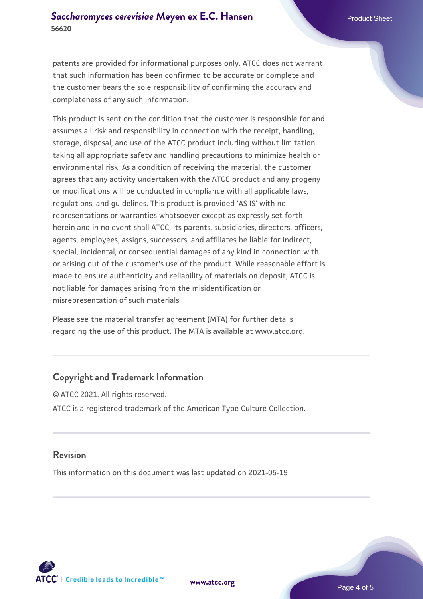patents are provided for informational purposes only. ATCC does not warrant that such information has been confirmed to be accurate or complete and the customer bears the sole responsibility of confirming the accuracy and completeness of any such information.

This product is sent on the condition that the customer is responsible for and assumes all risk and responsibility in connection with the receipt, handling, storage, disposal, and use of the ATCC product including without limitation taking all appropriate safety and handling precautions to minimize health or environmental risk. As a condition of receiving the material, the customer agrees that any activity undertaken with the ATCC product and any progeny or modifications will be conducted in compliance with all applicable laws, regulations, and guidelines. This product is provided 'AS IS' with no representations or warranties whatsoever except as expressly set forth herein and in no event shall ATCC, its parents, subsidiaries, directors, officers, agents, employees, assigns, successors, and affiliates be liable for indirect, special, incidental, or consequential damages of any kind in connection with or arising out of the customer's use of the product. While reasonable effort is made to ensure authenticity and reliability of materials on deposit, ATCC is not liable for damages arising from the misidentification or misrepresentation of such materials.

Please see the material transfer agreement (MTA) for further details regarding the use of this product. The MTA is available at www.atcc.org.

#### **Copyright and Trademark Information**

© ATCC 2021. All rights reserved. ATCC is a registered trademark of the American Type Culture Collection.

#### **Revision**

This information on this document was last updated on 2021-05-19



**[www.atcc.org](http://www.atcc.org)**